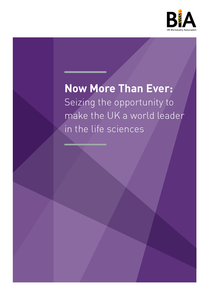

# **Now More Than Ever:**  Seizing the opportunity to

make the UK a world leader in the life sciences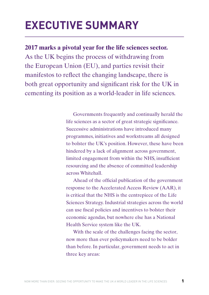# **EXECUTIVE SUMMARY**

**2017 marks a pivotal year for the life sciences sector.** 

As the UK begins the process of withdrawing from the European Union (EU), and parties revisit their manifestos to reflect the changing landscape, there is both great opportunity and significant risk for the UK in cementing its position as a world-leader in life sciences.

> Governments frequently and continually herald the life sciences as a sector of great strategic significance. Successive administrations have introduced many programmes, initiatives and workstreams all designed to bolster the UK's position. However, these have been hindered by a lack of alignment across government, limited engagement from within the NHS, insufficient resourcing and the absence of committed leadership across Whitehall.

> Ahead of the official publication of the government response to the Accelerated Access Review (AAR), it is critical that the NHS is the centrepiece of the Life Sciences Strategy. Industrial strategies across the world can use fiscal policies and incentives to bolster their economic agendas, but nowhere else has a National Health Service system like the UK.

With the scale of the challenges facing the sector, now more than ever policymakers need to be bolder than before. In particular, government needs to act in three key areas: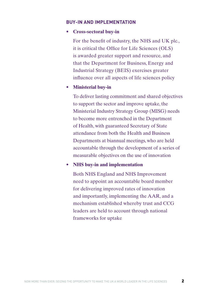#### **BUY-IN AND IMPLEMENTATION**

#### • **Cross-sectoral buy-in**

For the benefit of industry, the NHS and UK plc., it is critical the Office for Life Sciences (OLS) is awarded greater support and resource, and that the Department for Business, Energy and Industrial Strategy (BEIS) exercises greater influence over all aspects of life sciences policy

#### **• Ministerial buy-in**

To deliver lasting commitment and shared objectives to support the sector and improve uptake, the Ministerial Industry Strategy Group (MISG) needs to become more entrenched in the Department of Health, with guaranteed Secretary of State attendance from both the Health and Business Departments at biannual meetings, who are held accountable through the development of a series of measurable objectives on the use of innovation

#### • **NHS buy-in and implementation**

Both NHS England and NHS Improvement need to appoint an accountable board member for delivering improved rates of innovation and importantly, implementing the AAR, and a mechanism established whereby trust and CCG leaders are held to account through national frameworks for uptake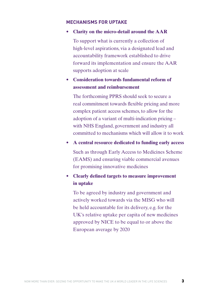#### **MECHANISMS FOR UPTAKE**

#### **• Clarity on the micro-detail around the AAR**

To support what is currently a collection of high-level aspirations, via a designated lead and accountability framework established to drive forward its implementation and ensure the AAR supports adoption at scale

**• Consideration towards fundamental reform of assessment and reimbursement**

The forthcoming PPRS should seek to secure a real commitment towards flexible pricing and more complex patient access schemes, to allow for the adoption of a variant of multi-indication pricing – with NHS England, government and industry all committed to mechanisms which will allow it to work

**• A central resource dedicated to funding early access**

Such as through Early Access to Medicines Scheme (EAMS) and ensuring viable commercial avenues for promising innovative medicines

• **Clearly defined targets to measure improvement in uptake**

To be agreed by industry and government and actively worked towards via the MISG who will be held accountable for its delivery, e.g. for the UK's relative uptake per capita of new medicines approved by NICE to be equal to or above the European average by 2020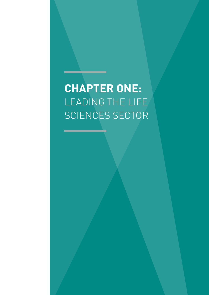# **CHAPTER ONE:** LEADING THE LIFE SCIENCES SECTOR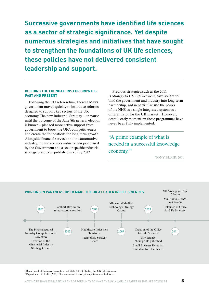**Successive governments have identified life sciences as a sector of strategic significance. Yet despite numerous strategies and initiatives that have sought to strengthen the foundations of UK life sciences, these policies have not delivered consistent leadership and support.**

#### **BUILDING THE FOUNDATIONS FOR GROWTH – PAST AND PRESENT**

Following the EU referendum, Theresa May's government moved quickly to introduce reforms designed to support key sectors of the UK economy. The new Industrial Strategy – on pause until the outcome of the June 8th general election is known – pledged more active support from government to boost the UK's competitiveness and create the foundations for long-term growth. Alongside financial services and the automotive industry, the life sciences industry was prioritised by the Government and a sector specific industrial strategy is set to be published in spring 2017.

Previous strategies, such as the 2011 *A Strategy to UK Life Sciences*, have sought to bind the government and industry into long-term partnership, and in particular, use the power of the NHS as a single integrated system as a differentiator for the UK market<sup>1</sup>. However, despite early momentum these programmes have never been fully implemented.

"A prime example of what is needed in a successful knowledge economy."2

TONY BLAIR, 2001



<sup>1</sup>Department of Business, Innovation and Skills (2011), Strategy for UK Life Sciences.

<sup>2</sup> Department of Health (2001), Pharmaceutical Industry Competitiveness Taskforce.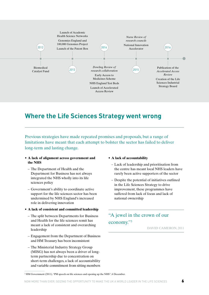

### **Where the Life Sciences Strategy went wrong**

Previous strategies have made repeated promises and proposals, but a range of limitations have meant that each attempt to bolster the sector has failed to deliver long-term and lasting change.

- **A lack of alignment across government and the NHS**
	- The Department of Health and the Department for Business has not always integrated the NHS wholly into its life sciences policy
	- Government's ability to coordinate active support for the life sciences sector has been undermined by NHS England's increased role in delivering innovation
- **A lack of consistent and committed leadership**
	- The split between Departments for Business and Health for the life sciences remit has meant a lack of consistent and overarching leadership
	- Engagement from the Department of Business and HM Treasury has been inconsistent
	- The Ministerial Industry Strategy Group (MISG) has not always been a driver of longterm partnership due to concentration on short-term challenges, a lack of accountability and variable commitment from sitting members

#### • **A lack of accountability**

- Lack of leadership and prioritisation from the centre has meant local NHS leaders have rarely been active supporters of the sector
- Despite the potential of initiatives outlined in the Life Sciences Strategy to drive improvement, these programmes have suffered from lack of focus and lack of national ownership

### "A jewel in the crown of our economy."3

DAVID CAMERON, 2011

<sup>&</sup>lt;sup>3</sup> HM Government (2011), "PM speech on life sciences and opening up the NHS", 6 December.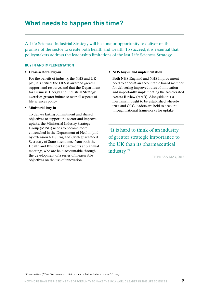A Life Sciences Industrial Strategy will be a major opportunity to deliver on the promise of the sector to create both health and wealth. To succeed, it is essential that policymakers address the leadership limitations of the last Life Sciences Strategy.

#### **BUY IN AND IMPLEMENTATION**

#### • **Cross-sectoral buy-in**

 For the benefit of industry, the NHS and UK plc., it is critical the OLS is awarded greater support and resource, and that the Department for Business, Energy and Industrial Strategy exercises greater influence over all aspects of life sciences policy

#### • **Ministerial buy-in**

 To deliver lasting commitment and shared objectives to support the sector and improve uptake, the Ministerial Industry Strategy Group (MISG) needs to become more entrenched in the Department of Health (and by extension NHS England), with guaranteed Secretary of State attendance from both the Health and Business Departments at biannual meetings, who are held accountable through the development of a series of measurable objectives on the use of innovation

#### • **NHS buy-in and implementation**

 Both NHS England and NHS Improvement need to appoint an accountable board member for delivering improved rates of innovation and importantly, implementing the Accelerated Access Review (AAR). Alongside this, a mechanism ought to be established whereby trust and CCG leaders are held to account through national frameworks for uptake.

"It is hard to think of an industry of greater strategic importance to the UK than its pharmaceutical industry."4

THERESA MAY, 2016

<sup>4</sup> Conservatives (2016), "We can make Britain a country that works for everyone", 11 July.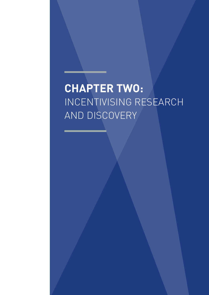# **CHAPTER TWO:** INCENTIVISING RESEARCH AND DISCOVERY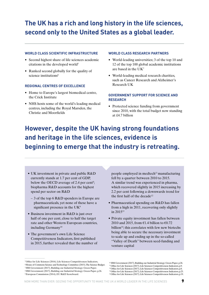## **The UK has a rich and long history in the life sciences, second only to the United States as a global leader.**

#### **WORLD CLASS SCIENTIFIC INFRASTRUCTURE**

- Second highest share of life sciences academic citations in the developed world $5$
- Ranked second globally for the quality of science institutions<sup>6</sup>

#### **REGIONAL CENTRES OF EXCELLENCE**

- Home to Europe's largest biomedical centre, the Crick Institute
- NHS hosts some of the world's leading medical centres, including the Royal Marsden, the Christie and Moorfields

#### **WORLD CLASS RESEARCH PARTNERS**

- World-leading universities; 3 of the top 10 and 12 of the top 100 global academic institutions are based in the UK7
- World-leading medical research charities, such as Cancer Research and Alzheimer's Research UK

#### **GOVERNMENT SUPPORT FOR SCIENCE AND RESEARCH**

• Protected science funding from government since 2010, with the total budget now standing at £4.7 billion

# **However, despite the UK having strong foundations and heritage in the life sciences, evidence is beginning to emerge that the industry is retreating.**

- UK investment in private and public R&D currently stands at 1.7 per cent of GDP, below the OECD average of 2.4 per cent<sup>8</sup>; biopharma R&D accounts for the highest spend per sector on R&D
	- 3 of the top 6 R&D spenders in Europe are pharmaceuticals, yet none of these have a significant presence in the UK<sup>9</sup>
- Business investment in R&D is just over half of one per cent, close to half the target rate and other Western European countries, including Germany<sup>10</sup>
- The government's own Life Science Competitiveness Indicators, first published in 2015, further revealed that the number of

people employed in medtech<sup>11</sup> manufacturing fell by a quarter between 2010 to 2015. A similar trend was experienced in pharma, which recovered slightly in 2015 increasing by 2.2 per cent following a downwards trend for the first half of the decade<sup>12</sup>

- Pharmaceutical spending on R&D has fallen from a high in 2011, recovering only slightly in 201513
- Private equity investment has fallen between 2010 and 2015, from  $\epsilon$ 1.4 billion to  $\epsilon$ 0.72 billion<sup>14</sup>; this correlates with few new biotechs being able to secure the necessary investment to scale up and ending up in the so-called "Valley of Death" between seed-funding and venture capital

<sup>&</sup>lt;sup>5</sup> Office for Life Sciences (2016), Life Sciences Competitiveness Indicators, <sup>6</sup> House of Commons Science and Technology Committee (2015). The Science Budget. 7 HM Government (2017), Building our Industrial Strategy: Green Paper. 8 HM Government (2017), Building our Industrial Strategy: Green Paper, p.26. 9 European Commission (2014), EU R&D Scoreboard.

<sup>10</sup> HM Government (2017), Building our Industrial Strategy: Green Paper, p.26. <sup>11</sup> Office for Life Sciences (2017), Life Sciences Competitiveness Indicators, p.9. <sup>12</sup> Office for Life Sciences (2017), Life Sciences Competitiveness Indicators, p.8.

<sup>&</sup>lt;sup>13</sup> Office for Life Sciences (2017), Life Sciences Competitiveness Indicators, p.25. <sup>14</sup> Office for Life Sciences (2017), Life Sciences Competitiveness Indicators, p.19.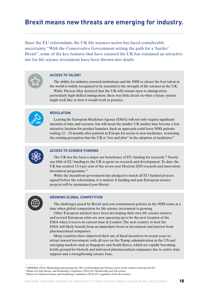### **Brexit means new threats are emerging for industry.**

Since the EU referendum, the UK life sciences sector has faced considerable uncertainty. "With the Conservative Government setting the path for a 'harder' Brexit", some of the key features that have ensured the UK has remained an attractive site for life science investment have been thrown into doubt.

#### **ACCESS TO TALENT**

The ability for industry, research institutions and the NHS to attract the best talent in the world is widely recognised to be essential to the strength of life sciences in the UK. While Theresa May declared that the UK will remain open to immigration, particularly high-skilled immigration, there was little detail on what a future system might look like or how it would work in practice.



#### **REGULATION**

Leaving the European Medicines Agency (EMA) will not only require significant amounts of time and resource, but will mean the smaller UK market may become a less attractive location for product launches. Such an approach could leave NHS patients waiting 12 – 24 months after patients in Europe for access to new medicines, worsening the existing perception that the UK is "low and slow" in the adoption of medicines.15



#### **ACCESS TO SCIENCE FUNDING**

The UK has the been a major net beneficiary of EU funding for research.<sup>16</sup> Nearly one fifth of EU funding to the UK is spent on research and development. To date, the UK has secured 15.4 per cent of the seven-year Horizon 2020 research and innovation investment programme.17

While the incumbent government has pledged to match all EU-funded projects signed before the referendum, it is unclear if funding and pan-European science projects will be maintained post-Brexit.



#### **GROWING GLOBAL COMPETITION**

The challenges posed by Brexit and cost-containment policies in the NHS come at a time when global competition for life science investment is growing.

Other European markets have been developing their own life science clusters, and several European cities are now queueing up to be the next location of the EMA when it leaves its current base in London. The next country to host the EMA will likely benefit from an immediate boost in investment and interest from pharmaceutical companies.

Many countries have improved their use of fiscal incentives in recent years to attract inward investment, with all eyes on the Trump administration in the US and emerging markets such as Singapore and South Korea, which are rapidly becoming fertile ground for biotech and mid-sized pharmaceutical companies due to active state support and a strengthening science base.

15 ABPI/BIA (2016), Maintaining and growing the UK's world leading Life Sciences sector in the context of leaving the EU.

<sup>&</sup>lt;sup>16</sup> House of Lords Science and Technology Committee (2016), EU Membership and UK science.

<sup>&</sup>lt;sup>17</sup> House of Commons Science and Technology Committee (2016), EU regulation of the life sciences.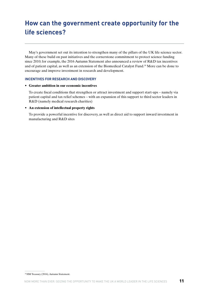## **How can the government create opportunity for the life sciences?**

May's government set out its intention to strengthen many of the pillars of the UK life science sector. Many of these build on past initiatives and the cornerstone commitment to protect science funding since 2010; for example, the 2016 Autumn Statement also announced a review of R&D tax incentives and of patient capital, as well as an extension of the Biomedical Catalyst Fund.18 More can be done to encourage and improve investment in research and development.

#### **INCENTIVES FOR RESEARCH AND DISCOVERY**

#### • **Greater ambition in our economic incentives**

 To create fiscal conditions that strengthen or attract investment and support start-ups – namely via patient capital and tax relief schemes – with an expansion of this support to third sector leaders in R&D (namely medical research charities)

#### • **An extension of intellectual property rights**

 To provide a powerful incentive for discovery, as well as direct aid to support inward investment in manufacturing and R&D sites

<sup>&</sup>lt;sup>18</sup> HM Treasury (2016), Autumn Statement.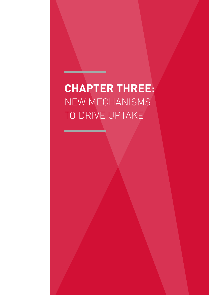# **CHAPTER THREE:** NEW MECHANISMS TO DRIVE UPTAKE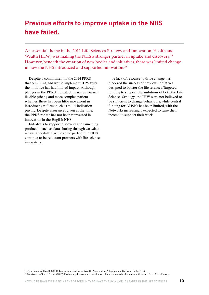## **Previous efforts to improve uptake in the NHS have failed.**

An essential theme in the 2011 Life Sciences Strategy and Innovation, Health and Wealth (IHW) was making the NHS a stronger partner in uptake and discovery.<sup>19</sup> However, beneath the creation of new bodies and initiatives, there was limited change in how the NHS introduced and supported innovation.20

Despite a commitment in the 2014 PPRS that NHS England would implement IHW fully, the initiative has had limited impact. Although pledges in the PPRS indicated measures towards flexible pricing and more complex patient schemes, there has been little movement in introducing reforms such as multi-indication pricing. Despite assurances given at the time, the PPRS rebate has not been reinvested in innovation in the English NHS.

Initiatives to support discovery and launching products – such as data sharing through care.data – have also stalled, while some parts of the NHS continue to be reluctant partners with life science innovators.

A lack of resource to drive change has hindered the success of previous initiatives designed to bolster the life sciences. Targeted funding to support the ambitions of both the Life Sciences Strategy and IHW were not believed to be sufficient to change behaviours, while central funding for AHSNs has been limited, with the Networks increasingly expected to raise their income to support their work.

<sup>19</sup> Department of Health (2011), Innovation Health and Wealth: Accelerating Adoption and Diffusion in the NHS. 20 Bienkowska-Gibbs, T. et al. (2016), Evaluating the role and contribution of innovation to health and wealth in the UK, RAND Europe.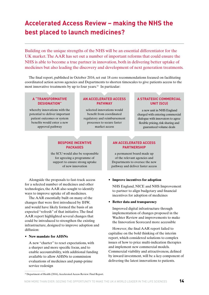## **Accelerated Access Review – making the NHS the best placed to launch medicines?**

Building on the unique strengths of the NHS will be an essential differentiator for the UK market. The AAR has set out a number of important reforms that could ensure the NHS is able to become a true partner in innovation, both in delivering better uptake of medicines but also leading the discovery and development of next generation treatments.

The final report, published in October 2016, set out 18 core recommendations focused on facilitating coordinated action across agencies and Departments to shorten timescales to give patients access to the most innovative treatments by up to four years.<sup>21</sup> In particular:

#### **A "TRANSFORMATIVE DESIGNATION"**

whereby innovations with the potential to deliver important patient outcomes or system benefits would enter a new approval pathway

#### **AN ACCELERATED ACCESS PATHWAY**

selected innovations would benefit from coordinated regulatory and reimbursement processes to secure faster market access

#### **A STRATEGIC COMMERCIAL UNIT (SCU)**

a new unit in NHS England charged with entering commercial dialogue with innovators to agree flexible pricing, risk sharing and guaranteed volume deals

#### **BESPOKE INCENTIVE PACKAGES**

the SCU would also be responsible for agreeing a programme of support to ensure strong uptake of new innovation

Alongside the proposals to fast-track access for a selected number of medicines and other technologies, the AAR also sought to identify ways to improve uptake of all medicines.

The AAR essentially built on many of the changes that were first introduced by IHW, and would have likely formed the basis of an expected "refresh" of that initiative. The final AAR report highlighted several changes that could be introduced to strengthen the existing infrastructure, designed to improve adoption and diffusion:

#### **• New mandate for AHSNs**

 A new "charter" to reset expectations, with a sharper and more specific focus, and to enable accountability, with additional funding available to allow AHSNs to commission evaluations of medicines and pump-prime service redesign

#### **AN ACCELERATED ACCESS PARTNERSHIP**

a permanent board made up of the relevant agencies and Departments to oversee the new pathway and deliver faster access

#### **• Improve incentives for adoption**

 NHS England, NICE and NHS Improvement to partner to align budgetary and financial incentives for adoption of medicines

#### • **Better data and transparency**

 Improved digital infrastructure through implementation of changes proposed in the Wachter Review and improvements to make the Innovation Scorecard more accessible

However, the final AAR report failed to capitalise on the bold thinking of the interim report, which considered solutions to complex issues of how to price multi-indication therapies and implement new commercial models. Commercial viability and attractiveness, defined by inward investment, will be a key component of delivering the latest innovations to patients.

<sup>&</sup>lt;sup>21</sup> Department of Health (2016), Accelerated Access Review: Final Report.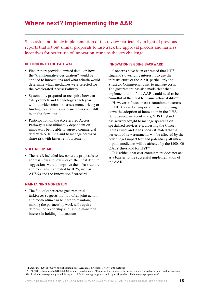### **Where next? Implementing the AAR**

Successful and timely implementation of the review, particularly in light of previous reports that set out similar proposals to fast-track the approval process and harness incentives for better use of innovation, remains the key challenge.

#### **GETTING ONTO THE PATHWAY**

- Final report provided limited detail on how the "transformative designation" would be applied to innovations, and what criteria would determine which medicines were selected for the Accelerated Access Pathway
- System only prepared to recognise between 5-10 products and technologies each year; without wider reform to assessment, pricing or funding mechanisms many medicines will still be in the slow lane
- Participation on the Accelerated Access Pathway is also ultimately dependent on innovators being able to agree a commercial deal with NHS England to manage access or share risk with faster reimbursement

#### **STILL NO UPTAKE**

• The AAR included few concrete proposals to address slow and low uptake; the most definite suggestions were to improve the infrastructure and mechanisms created by IHW, such as AHSNs and the Innovation Scorecard

#### **MAINTAINING MOMENTUM**

• The fate of other cross-governmental taskforces suggests that too often joint action and momentum can be hard to maintain; making the partnership work will require determined leadership and lasting ministerial interest in holding it to account

#### **INNOVATION IS GOING BACKWARD**

Concerns have been expressed that NHS England's overriding interest is to use the infrastructure of the AAR, particularly the Strategic Commercial Unit, to manage costs. The government has also made clear that implementation of the AAR would need to be "mindful of the need to ensure affordability"<sup>22</sup>.

However, a focus on cost-containment across the NHS played an important part in slowing down the adoption of innovation in the NHS. For example, in recent years, NHS England has actively sought to manage spending on specialised services, e.g. divesting the Cancer Drugs Fund, and it has been estimated that 20 per cent of new treatments will be affected by the new budget impact test and potentially all ultraorphan medicines will be affected by the £100,000 QALY threshold for HST<sup>23</sup>.

It is critical that cost-containment does not act as a barrier to the successful implementation of the AAR.

22 PhamaTimes (2016), "Gov't publishes findings of Accelerated Access Review", 24th October.

<sup>23</sup> ABPI (2017), Response to NICE/NHS England consultation on "Proposals for changes to the arrangements for evaluating and funding drugs and other health technologies appraised through NICE's Technology Appraisal and Highly Specialised Technologies programmes."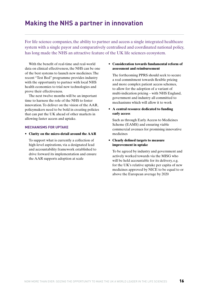### **Making the NHS a partner in innovation**

For life science companies, the ability to partner and access a single integrated healthcare system with a single payor and comparatively centralised and coordinated national policy, has long made the NHS an attractive feature of the UK life sciences ecosystem.

With the benefit of real-time and real-world data on clinical effectiveness, the NHS can be one of the best systems to launch new medicines. The recent "Test Bed" programme provides industry with the opportunity to partner with local NHS health economies to trial new technologies and prove their effectiveness.

The next twelve months will be an important time to harness the role of the NHS to foster innovation. To deliver on the vision of the AAR, policymakers need to be bold in creating policies that can put the UK ahead of other markets in allowing faster access and uptake.

#### **MECHANISMS FOR UPTAKE**

**• Clarity on the micro-detail around the AAR**

 To support what is currently a collection of high-level aspirations, via a designated lead and accountability framework established to drive forward its implementation and ensure the AAR supports adoption at scale

• **Consideration towards fundamental reform of assessment and reimbursement**

 The forthcoming PPRS should seek to secure a real commitment towards flexible pricing and more complex patient access schemes, to allow for the adoption of a variant of multi-indication pricing – with NHS England, government and industry all committed to mechanisms which will allow it to work

• **A central resource dedicated to funding early access**

 Such as through Early Access to Medicines Scheme (EAMS) and ensuring viable commercial avenues for promising innovative medicines

**• Clearly defined targets to measure improvement in uptake**

 To be agreed by industry and government and actively worked towards via the MISG who will be held accountable for its delivery, e.g. for the UK's relative uptake per capita of new medicines approved by NICE to be equal to or above the European average by 2020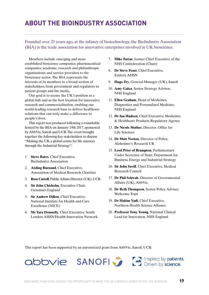## **ABOUT THE BIOINDUSTRY ASSOCIATION**

Founded over 25 years ago, at the infancy of biotechnology, the BioIndustry Association (BIA) is the trade association for innovative enterprises involved in UK bioscience.

Members include emerging and more established bioscience companies; pharmaceutical companies; academic, research and philanthropic organisations; and service providers to the bioscience sector. The BIA represents the interests of its members to a broad section of stakeholders, from government and regulators to patient groups and the media.

Our goal is to secure the UK's position as a global hub and as the best location for innovative research and commercialisation, enabling our world-leading research base to deliver healthcare solutions that can truly make a difference to people's lives.

This report was produced following a roundtable hosted by the BIA on January 19th 2017, sponsored by AbbVie, Sanofi and UCB. The event brought together the following key stakeholders to discuss "Making the UK a global centre for life sciences through the Industrial Strategy":

- 1. **Steve Bates**, Chief Executive, BioIndustry Association
- 2. **Aisling Burnand**, Chief Executive, Association of Medical Research Charities
- 3. **Ross Carroll**, Public Affairs Director (UK), UCB
- 4. **Sir John Chisholm**, Executive Chair, Genomics England
- 5. **Sir Andrew Dillon**, Chief Executive, National Institute for Health and Care Excellence (NICE)
- 6. **Ms Tara Donnelly**, Chief Executive, South London AHSN/Health Innovation Network
- 7. **Mike Farrar**, former Chief Executive of the NHS Confederation (Chair)
- 8. **Dr Steve Feast**, Chief Executive, Eastern AHSN
- 9. **Hugo Fry**, General Manager (UK), Sanofi
- 10. **Amy Galea**, Senior Strategy Advisor, NHS England
- 11. **Ellen Graham**, Head of Medicines, Diagnostics and Personalised Medicine, NHS England
- 12. **Dr Ian Hudson**, Chief Executive, Medicines & Healthcare Products Regulatory Agency
- 13. **Dr Nicole Mather**, Director, Office for Life Sciences
- 14. **Dr Matt Norton**, Director of Policy, Alzheimer's Research UK
- 15. **Lord Prior of Brampton**, Parliamentary Under Secretary of State, Department for Business, Energy and Industrial Strategy
- 16. **Sir John Savill**, Chief Executive, Medical Research Council
- 17. **Dr Phil Schwab**, Director of Governmental Affairs (UK), AbbVie
- 18. **Dr Beth Thompson**, Senior Policy Adviser, Wellcome Trust
- 19. **Dr Hakim Yadi**, Chief Executive, Northern Health Science Alliance
- 20. **Professor Tony Young**, National Clinical Lead for Innovation, NHS England

This report has been supported by an unrestricted grant from AbbVie, Sanofi, UCB.





abbvie SANOFI Priven by science.